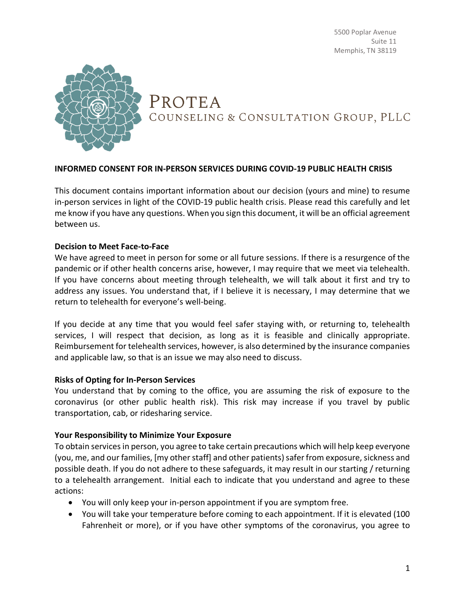5500 Poplar Avenue Suite 11 Memphis, TN 38119



PROTEA COUNSELING & CONSULTATION GROUP, PLLC

### **INFORMED CONSENT FOR IN-PERSON SERVICES DURING COVID-19 PUBLIC HEALTH CRISIS**

This document contains important information about our decision (yours and mine) to resume in-person services in light of the COVID-19 public health crisis. Please read this carefully and let me know if you have any questions. When you sign this document, it will be an official agreement between us.

### **Decision to Meet Face-to-Face**

We have agreed to meet in person for some or all future sessions. If there is a resurgence of the pandemic or if other health concerns arise, however, I may require that we meet via telehealth. If you have concerns about meeting through telehealth, we will talk about it first and try to address any issues. You understand that, if I believe it is necessary, I may determine that we return to telehealth for everyone's well-being.

If you decide at any time that you would feel safer staying with, or returning to, telehealth services, I will respect that decision, as long as it is feasible and clinically appropriate. Reimbursement for telehealth services, however, is also determined by the insurance companies and applicable law, so that is an issue we may also need to discuss.

### **Risks of Opting for In-Person Services**

You understand that by coming to the office, you are assuming the risk of exposure to the coronavirus (or other public health risk). This risk may increase if you travel by public transportation, cab, or ridesharing service.

#### **Your Responsibility to Minimize Your Exposure**

To obtain services in person, you agree to take certain precautions which will help keep everyone (you, me, and our families, [my other staff] and other patients) safer from exposure, sickness and possible death. If you do not adhere to these safeguards, it may result in our starting / returning to a telehealth arrangement. Initial each to indicate that you understand and agree to these actions:

- You will only keep your in-person appointment if you are symptom free.
- You will take your temperature before coming to each appointment. If it is elevated (100 Fahrenheit or more), or if you have other symptoms of the coronavirus, you agree to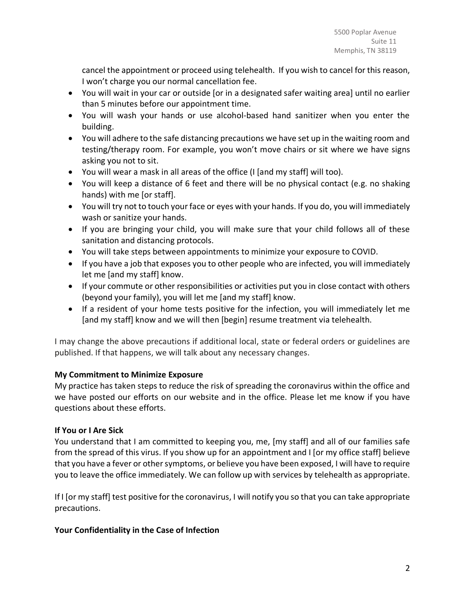cancel the appointment or proceed using telehealth. If you wish to cancel for this reason, I won't charge you our normal cancellation fee.

- You will wait in your car or outside [or in a designated safer waiting area] until no earlier than 5 minutes before our appointment time.
- You will wash your hands or use alcohol-based hand sanitizer when you enter the building.
- You will adhere to the safe distancing precautions we have set up in the waiting room and testing/therapy room. For example, you won't move chairs or sit where we have signs asking you not to sit.
- You will wear a mask in all areas of the office (I [and my staff] will too).
- You will keep a distance of 6 feet and there will be no physical contact (e.g. no shaking hands) with me [or staff].
- You will try not to touch your face or eyes with your hands. If you do, you will immediately wash or sanitize your hands.
- If you are bringing your child, you will make sure that your child follows all of these sanitation and distancing protocols.
- You will take steps between appointments to minimize your exposure to COVID.
- If you have a job that exposes you to other people who are infected, you will immediately let me [and my staff] know.
- If your commute or other responsibilities or activities put you in close contact with others (beyond your family), you will let me [and my staff] know.
- If a resident of your home tests positive for the infection, you will immediately let me [and my staff] know and we will then [begin] resume treatment via telehealth.

I may change the above precautions if additional local, state or federal orders or guidelines are published. If that happens, we will talk about any necessary changes.

# **My Commitment to Minimize Exposure**

My practice has taken steps to reduce the risk of spreading the coronavirus within the office and we have posted our efforts on our website and in the office. Please let me know if you have questions about these efforts.

# **If You or I Are Sick**

You understand that I am committed to keeping you, me, [my staff] and all of our families safe from the spread of this virus. If you show up for an appointment and I [or my office staff] believe that you have a fever or other symptoms, or believe you have been exposed, I will have to require you to leave the office immediately. We can follow up with services by telehealth as appropriate.

If I [or my staff] test positive for the coronavirus, I will notify you so that you can take appropriate precautions.

## **Your Confidentiality in the Case of Infection**